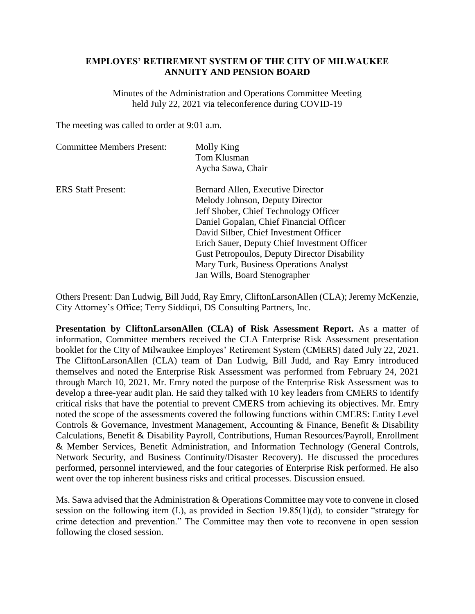## **EMPLOYES' RETIREMENT SYSTEM OF THE CITY OF MILWAUKEE ANNUITY AND PENSION BOARD**

Minutes of the Administration and Operations Committee Meeting held July 22, 2021 via teleconference during COVID-19

The meeting was called to order at 9:01 a.m.

| <b>Committee Members Present:</b> | Molly King<br>Tom Klusman<br>Aycha Sawa, Chair |
|-----------------------------------|------------------------------------------------|
| <b>ERS</b> Staff Present:         | Bernard Allen, Executive Director              |
|                                   | Melody Johnson, Deputy Director                |
|                                   | Jeff Shober, Chief Technology Officer          |
|                                   | Daniel Gopalan, Chief Financial Officer        |
|                                   | David Silber, Chief Investment Officer         |
|                                   | Erich Sauer, Deputy Chief Investment Officer   |
|                                   | Gust Petropoulos, Deputy Director Disability   |
|                                   | Mary Turk, Business Operations Analyst         |
|                                   | Jan Wills, Board Stenographer                  |

Others Present: Dan Ludwig, Bill Judd, Ray Emry, CliftonLarsonAllen (CLA); Jeremy McKenzie, City Attorney's Office; Terry Siddiqui, DS Consulting Partners, Inc.

**Presentation by CliftonLarsonAllen (CLA) of Risk Assessment Report.** As a matter of information, Committee members received the CLA Enterprise Risk Assessment presentation booklet for the City of Milwaukee Employes' Retirement System (CMERS) dated July 22, 2021. The CliftonLarsonAllen (CLA) team of Dan Ludwig, Bill Judd, and Ray Emry introduced themselves and noted the Enterprise Risk Assessment was performed from February 24, 2021 through March 10, 2021. Mr. Emry noted the purpose of the Enterprise Risk Assessment was to develop a three-year audit plan. He said they talked with 10 key leaders from CMERS to identify critical risks that have the potential to prevent CMERS from achieving its objectives. Mr. Emry noted the scope of the assessments covered the following functions within CMERS: Entity Level Controls & Governance, Investment Management, Accounting & Finance, Benefit & Disability Calculations, Benefit & Disability Payroll, Contributions, Human Resources/Payroll, Enrollment & Member Services, Benefit Administration, and Information Technology (General Controls, Network Security, and Business Continuity/Disaster Recovery). He discussed the procedures performed, personnel interviewed, and the four categories of Enterprise Risk performed. He also went over the top inherent business risks and critical processes. Discussion ensued.

Ms. Sawa advised that the Administration & Operations Committee may vote to convene in closed session on the following item (I.), as provided in Section 19.85(1)(d), to consider "strategy for crime detection and prevention." The Committee may then vote to reconvene in open session following the closed session.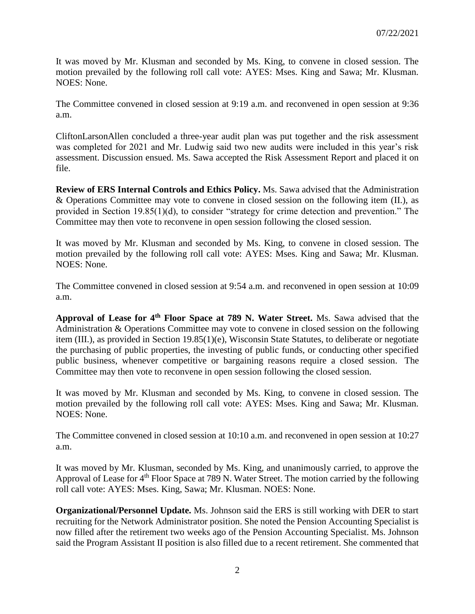It was moved by Mr. Klusman and seconded by Ms. King, to convene in closed session. The motion prevailed by the following roll call vote: AYES: Mses. King and Sawa; Mr. Klusman. NOES: None.

The Committee convened in closed session at 9:19 a.m. and reconvened in open session at 9:36 a.m.

CliftonLarsonAllen concluded a three-year audit plan was put together and the risk assessment was completed for 2021 and Mr. Ludwig said two new audits were included in this year's risk assessment. Discussion ensued. Ms. Sawa accepted the Risk Assessment Report and placed it on file.

**Review of ERS Internal Controls and Ethics Policy.** Ms. Sawa advised that the Administration & Operations Committee may vote to convene in closed session on the following item (II.), as provided in Section 19.85(1)(d), to consider "strategy for crime detection and prevention." The Committee may then vote to reconvene in open session following the closed session.

It was moved by Mr. Klusman and seconded by Ms. King, to convene in closed session. The motion prevailed by the following roll call vote: AYES: Mses. King and Sawa; Mr. Klusman. NOES: None.

The Committee convened in closed session at 9:54 a.m. and reconvened in open session at 10:09 a.m.

**Approval of Lease for 4th Floor Space at 789 N. Water Street.** Ms. Sawa advised that the Administration & Operations Committee may vote to convene in closed session on the following item (III.), as provided in Section 19.85(1)(e), Wisconsin State Statutes, to deliberate or negotiate the purchasing of public properties, the investing of public funds, or conducting other specified public business, whenever competitive or bargaining reasons require a closed session. The Committee may then vote to reconvene in open session following the closed session.

It was moved by Mr. Klusman and seconded by Ms. King, to convene in closed session. The motion prevailed by the following roll call vote: AYES: Mses. King and Sawa; Mr. Klusman. NOES: None.

The Committee convened in closed session at 10:10 a.m. and reconvened in open session at 10:27 a.m.

It was moved by Mr. Klusman, seconded by Ms. King, and unanimously carried, to approve the Approval of Lease for 4<sup>th</sup> Floor Space at 789 N. Water Street. The motion carried by the following roll call vote: AYES: Mses. King, Sawa; Mr. Klusman. NOES: None.

**Organizational/Personnel Update.** Ms. Johnson said the ERS is still working with DER to start recruiting for the Network Administrator position. She noted the Pension Accounting Specialist is now filled after the retirement two weeks ago of the Pension Accounting Specialist. Ms. Johnson said the Program Assistant II position is also filled due to a recent retirement. She commented that